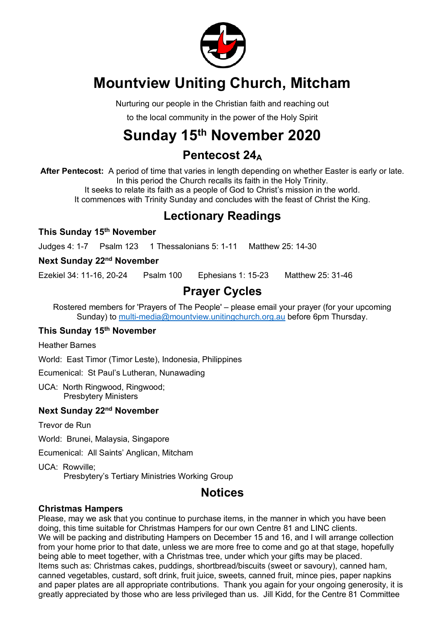

# **Mountview Uniting Church, Mitcham**

Nurturing our people in the Christian faith and reaching out

to the local community in the power of the Holy Spirit

# **Sunday 15th November 2020**

## **Pentecost 24A**

**After Pentecost:** A period of time that varies in length depending on whether Easter is early or late. In this period the Church recalls its faith in the Holy Trinity. It seeks to relate its faith as a people of God to Christ's mission in the world. It commences with Trinity Sunday and concludes with the feast of Christ the King.

### **Lectionary Readings**

**This Sunday 15th November**

Judges 4: 1-7 Psalm 123 1 Thessalonians 5: 1-11 Matthew 25: 14-30

#### **Next Sunday 22nd November**

Ezekiel 34: 11-16, 20-24 Psalm 100 Ephesians 1: 15-23 Matthew 25: 31-46

## **Prayer Cycles**

Rostered members for 'Prayers of The People' – please email your prayer (for your upcoming Sunday) to multi-media@mountview.unitingchurch.org.au before 6pm Thursday.

#### **This Sunday 15th November**

Heather Barnes

World: East Timor (Timor Leste), Indonesia, Philippines

Ecumenical: St Paul's Lutheran, Nunawading

UCA: North Ringwood, Ringwood; Presbytery Ministers

#### **Next Sunday 22nd November**

Trevor de Run

World: Brunei, Malaysia, Singapore

Ecumenical: All Saints' Anglican, Mitcham

UCA: Rowville; Presbytery's Tertiary Ministries Working Group

### **Notices**

#### **Christmas Hampers**

Please, may we ask that you continue to purchase items, in the manner in which you have been doing, this time suitable for Christmas Hampers for our own Centre 81 and LINC clients. We will be packing and distributing Hampers on December 15 and 16, and I will arrange collection from your home prior to that date, unless we are more free to come and go at that stage, hopefully being able to meet together, with a Christmas tree, under which your gifts may be placed. Items such as: Christmas cakes, puddings, shortbread/biscuits (sweet or savoury), canned ham, canned vegetables, custard, soft drink, fruit juice, sweets, canned fruit, mince pies, paper napkins and paper plates are all appropriate contributions. Thank you again for your ongoing generosity, it is greatly appreciated by those who are less privileged than us. Jill Kidd, for the Centre 81 Committee